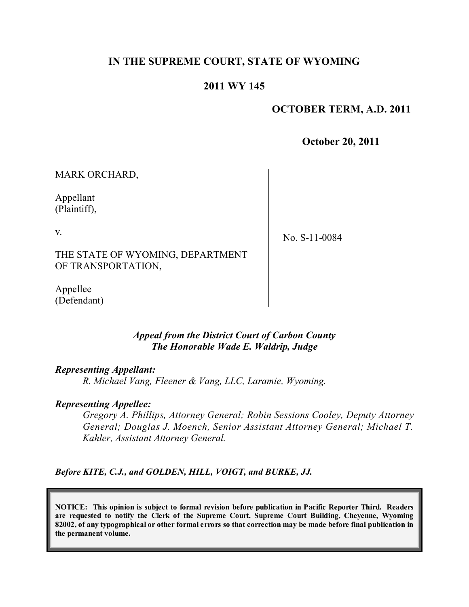# **IN THE SUPREME COURT, STATE OF WYOMING**

## **2011 WY 145**

### **OCTOBER TERM, A.D. 2011**

**October 20, 2011**

MARK ORCHARD,

Appellant (Plaintiff),

v.

No. S-11-0084

THE STATE OF WYOMING, DEPARTMENT OF TRANSPORTATION,

Appellee (Defendant)

#### *Appeal from the District Court of Carbon County The Honorable Wade E. Waldrip, Judge*

#### *Representing Appellant:*

*R. Michael Vang, Fleener & Vang, LLC, Laramie, Wyoming.*

#### *Representing Appellee:*

*Gregory A. Phillips, Attorney General; Robin Sessions Cooley, Deputy Attorney General; Douglas J. Moench, Senior Assistant Attorney General; Michael T. Kahler, Assistant Attorney General.*

*Before KITE, C.J., and GOLDEN, HILL, VOIGT, and BURKE, JJ.*

**NOTICE: This opinion is subject to formal revision before publication in Pacific Reporter Third. Readers are requested to notify the Clerk of the Supreme Court, Supreme Court Building, Cheyenne, Wyoming** 82002, of any typographical or other formal errors so that correction may be made before final publication in **the permanent volume.**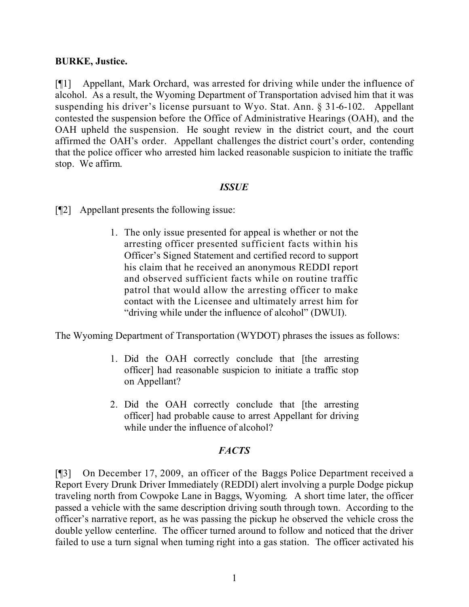### **BURKE, Justice.**

[¶1] Appellant, Mark Orchard, was arrested for driving while under the influence of alcohol. As a result, the Wyoming Department of Transportation advised him that it was suspending his driver's license pursuant to Wyo. Stat. Ann. § 31-6-102. Appellant contested the suspension before the Office of Administrative Hearings (OAH), and the OAH upheld the suspension. He sought review in the district court, and the court affirmed the OAH's order. Appellant challenges the district court's order, contending that the police officer who arrested him lacked reasonable suspicion to initiate the traffic stop. We affirm.

### *ISSUE*

[¶2] Appellant presents the following issue:

1. The only issue presented for appeal is whether or not the arresting officer presented sufficient facts within his Officer's Signed Statement and certified record to support his claim that he received an anonymous REDDI report and observed sufficient facts while on routine traffic patrol that would allow the arresting officer to make contact with the Licensee and ultimately arrest him for "driving while under the influence of alcohol" (DWUI).

The Wyoming Department of Transportation (WYDOT) phrases the issues as follows:

- 1. Did the OAH correctly conclude that [the arresting officer] had reasonable suspicion to initiate a traffic stop on Appellant?
- 2. Did the OAH correctly conclude that [the arresting officer] had probable cause to arrest Appellant for driving while under the influence of alcohol?

## *FACTS*

[¶3] On December 17, 2009, an officer of the Baggs Police Department received a Report Every Drunk Driver Immediately (REDDI) alert involving a purple Dodge pickup traveling north from Cowpoke Lane in Baggs, Wyoming. A short time later, the officer passed a vehicle with the same description driving south through town. According to the officer's narrative report, as he was passing the pickup he observed the vehicle cross the double yellow centerline. The officer turned around to follow and noticed that the driver failed to use a turn signal when turning right into a gas station. The officer activated his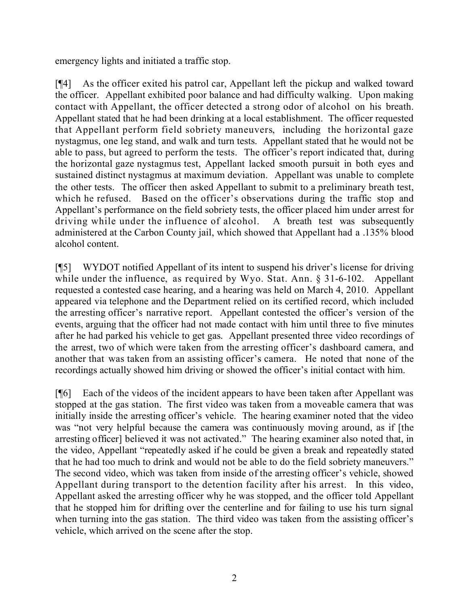emergency lights and initiated a traffic stop.

[¶4] As the officer exited his patrol car, Appellant left the pickup and walked toward the officer. Appellant exhibited poor balance and had difficulty walking. Upon making contact with Appellant, the officer detected a strong odor of alcohol on his breath. Appellant stated that he had been drinking at a local establishment. The officer requested that Appellant perform field sobriety maneuvers, including the horizontal gaze nystagmus, one leg stand, and walk and turn tests. Appellant stated that he would not be able to pass, but agreed to perform the tests. The officer's report indicated that, during the horizontal gaze nystagmus test, Appellant lacked smooth pursuit in both eyes and sustained distinct nystagmus at maximum deviation. Appellant was unable to complete the other tests. The officer then asked Appellant to submit to a preliminary breath test, which he refused. Based on the officer's observations during the traffic stop and Appellant's performance on the field sobriety tests, the officer placed him under arrest for driving while under the influence of alcohol. A breath test was subsequently administered at the Carbon County jail, which showed that Appellant had a .135% blood alcohol content.

[¶5] WYDOT notified Appellant of its intent to suspend his driver's license for driving while under the influence, as required by Wyo. Stat. Ann. § 31-6-102. Appellant requested a contested case hearing, and a hearing was held on March 4, 2010. Appellant appeared via telephone and the Department relied on its certified record, which included the arresting officer's narrative report. Appellant contested the officer's version of the events, arguing that the officer had not made contact with him until three to five minutes after he had parked his vehicle to get gas. Appellant presented three video recordings of the arrest, two of which were taken from the arresting officer's dashboard camera, and another that was taken from an assisting officer's camera. He noted that none of the recordings actually showed him driving or showed the officer's initial contact with him.

[¶6] Each of the videos of the incident appears to have been taken after Appellant was stopped at the gas station. The first video was taken from a moveable camera that was initially inside the arresting officer's vehicle. The hearing examiner noted that the video was "not very helpful because the camera was continuously moving around, as if [the arresting officer] believed it was not activated." The hearing examiner also noted that, in the video, Appellant "repeatedly asked if he could be given a break and repeatedly stated that he had too much to drink and would not be able to do the field sobriety maneuvers." The second video, which was taken from inside of the arresting officer's vehicle, showed Appellant during transport to the detention facility after his arrest. In this video, Appellant asked the arresting officer why he was stopped, and the officer told Appellant that he stopped him for drifting over the centerline and for failing to use his turn signal when turning into the gas station. The third video was taken from the assisting officer's vehicle, which arrived on the scene after the stop.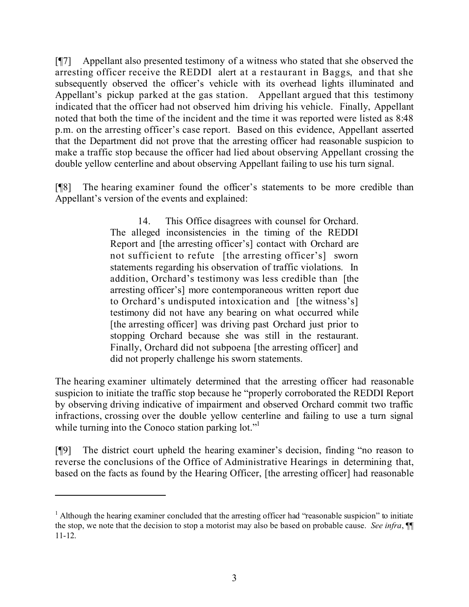[¶7] Appellant also presented testimony of a witness who stated that she observed the arresting officer receive the REDDI alert at a restaurant in Baggs, and that she subsequently observed the officer's vehicle with its overhead lights illuminated and Appellant's pickup parked at the gas station. Appellant argued that this testimony indicated that the officer had not observed him driving his vehicle. Finally, Appellant noted that both the time of the incident and the time it was reported were listed as 8:48 p.m. on the arresting officer's case report. Based on this evidence, Appellant asserted that the Department did not prove that the arresting officer had reasonable suspicion to make a traffic stop because the officer had lied about observing Appellant crossing the double yellow centerline and about observing Appellant failing to use his turn signal.

[¶8] The hearing examiner found the officer's statements to be more credible than Appellant's version of the events and explained:

> 14. This Office disagrees with counsel for Orchard. The alleged inconsistencies in the timing of the REDDI Report and [the arresting officer's] contact with Orchard are not sufficient to refute [the arresting officer's] sworn statements regarding his observation of traffic violations. In addition, Orchard's testimony was less credible than [the arresting officer's] more contemporaneous written report due to Orchard's undisputed intoxication and [the witness's] testimony did not have any bearing on what occurred while [the arresting officer] was driving past Orchard just prior to stopping Orchard because she was still in the restaurant. Finally, Orchard did not subpoena [the arresting officer] and did not properly challenge his sworn statements.

The hearing examiner ultimately determined that the arresting officer had reasonable suspicion to initiate the traffic stop because he "properly corroborated the REDDI Report by observing driving indicative of impairment and observed Orchard commit two traffic infractions, crossing over the double yellow centerline and failing to use a turn signal while turning into the Conoco station parking lot."

[¶9] The district court upheld the hearing examiner's decision, finding "no reason to reverse the conclusions of the Office of Administrative Hearings in determining that, based on the facts as found by the Hearing Officer, [the arresting officer] had reasonable

 $1$  Although the hearing examiner concluded that the arresting officer had "reasonable suspicion" to initiate the stop, we note that the decision to stop a motorist may also be based on probable cause. *See infra*, ¶¶ 11-12.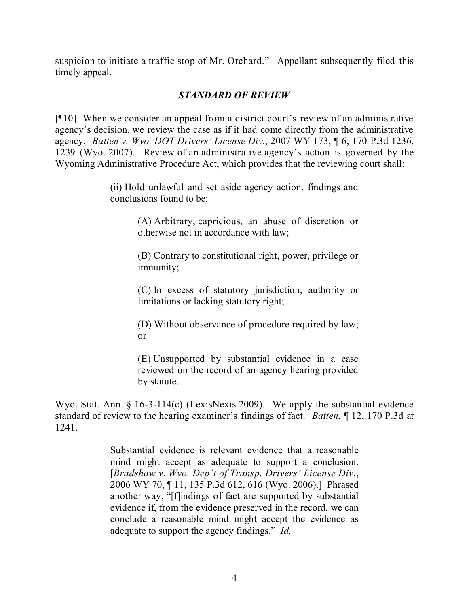suspicion to initiate a traffic stop of Mr. Orchard." Appellant subsequently filed this timely appeal.

# *STANDARD OF REVIEW*

[¶10] When we consider an appeal from a district court's review of an administrative agency's decision, we review the case as if it had come directly from the administrative agency. *Batten v. Wyo. DOT Drivers' License Div.*, 2007 WY 173, ¶ 6, 170 P.3d 1236, 1239 (Wyo. 2007). Review of an administrative agency's action is governed by the Wyoming Administrative Procedure Act, which provides that the reviewing court shall:

> (ii) Hold unlawful and set aside agency action, findings and conclusions found to be:

> > (A) Arbitrary, capricious, an abuse of discretion or otherwise not in accordance with law;

> > (B) Contrary to constitutional right, power, privilege or immunity;

> > (C) In excess of statutory jurisdiction, authority or limitations or lacking statutory right;

> > (D) Without observance of procedure required by law; or

> > (E) Unsupported by substantial evidence in a case reviewed on the record of an agency hearing provided by statute.

Wyo. Stat. Ann. § 16-3-114(c) (LexisNexis 2009). We apply the substantial evidence standard of review to the hearing examiner's findings of fact. *Batten*, ¶ 12, 170 P.3d at 1241.

> Substantial evidence is relevant evidence that a reasonable mind might accept as adequate to support a conclusion. [*Bradshaw v. Wyo. Dep't of Transp. Drivers' License Div.*, 2006 WY 70, ¶ 11, 135 P.3d 612, 616 (Wyo. 2006).] Phrased another way, "[f]indings of fact are supported by substantial evidence if, from the evidence preserved in the record, we can conclude a reasonable mind might accept the evidence as adequate to support the agency findings." *Id.*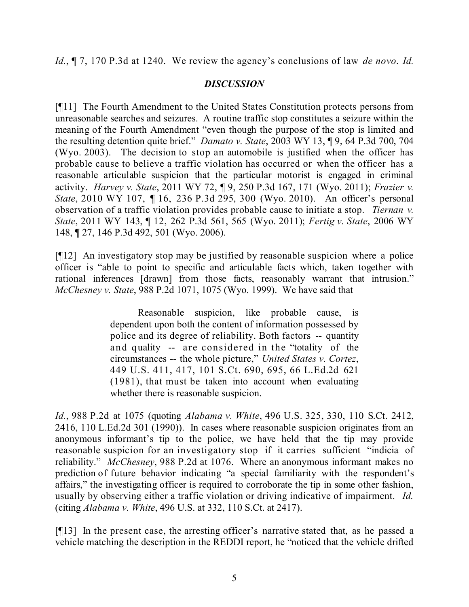*Id.*, ¶ 7, 170 P.3d at 1240. We review the agency's conclusions of law *de novo*. *Id.*

## *DISCUSSION*

[¶11] The Fourth Amendment to the United States Constitution protects persons from unreasonable searches and seizures. A routine traffic stop constitutes a seizure within the meaning of the Fourth Amendment "even though the purpose of the stop is limited and the resulting detention quite brief." *Damato v. State*, 2003 WY 13, ¶ 9, 64 P.3d 700, 704 (Wyo. 2003). The decision to stop an automobile is justified when the officer has probable cause to believe a traffic violation has occurred or when the officer has a reasonable articulable suspicion that the particular motorist is engaged in criminal activity. *Harvey v. State*, 2011 WY 72, ¶ 9, 250 P.3d 167, 171 (Wyo. 2011); *Frazier v. State*, 2010 WY 107, 116, 236 P.3d 295, 300 (Wyo. 2010). An officer's personal observation of a traffic violation provides probable cause to initiate a stop. *Tiernan v. State*, 2011 WY 143, ¶ 12, 262 P.3d 561, 565 (Wyo. 2011); *Fertig v. State*, 2006 WY 148, ¶ 27, 146 P.3d 492, 501 (Wyo. 2006).

[¶12] An investigatory stop may be justified by reasonable suspicion where a police officer is "able to point to specific and articulable facts which, taken together with rational inferences [drawn] from those facts, reasonably warrant that intrusion." *McChesney v. State*, 988 P.2d 1071, 1075 (Wyo. 1999). We have said that

> Reasonable suspicion, like probable cause, is dependent upon both the content of information possessed by police and its degree of reliability. Both factors -- quantity and quality -- are considered in the "totality of the circumstances -- the whole picture," *United States v. Cortez*, 449 U.S. 411, 417, 101 S.Ct. 690, 695, 66 L.Ed.2d 621 (1981), that must be taken into account when evaluating whether there is reasonable suspicion.

*Id.*, 988 P.2d at 1075 (quoting *Alabama v. White*, 496 U.S. 325, 330, 110 S.Ct. 2412, 2416, 110 L.Ed.2d 301 (1990)). In cases where reasonable suspicion originates from an anonymous informant's tip to the police, we have held that the tip may provide reasonable suspicion for an investigatory stop if it carries sufficient "indicia of reliability." *McChesney*, 988 P.2d at 1076. Where an anonymous informant makes no prediction of future behavior indicating "a special familiarity with the respondent's affairs," the investigating officer is required to corroborate the tip in some other fashion, usually by observing either a traffic violation or driving indicative of impairment. *Id.* (citing *Alabama v. White*, 496 U.S. at 332, 110 S.Ct. at 2417).

[¶13] In the present case, the arresting officer's narrative stated that, as he passed a vehicle matching the description in the REDDI report, he "noticed that the vehicle drifted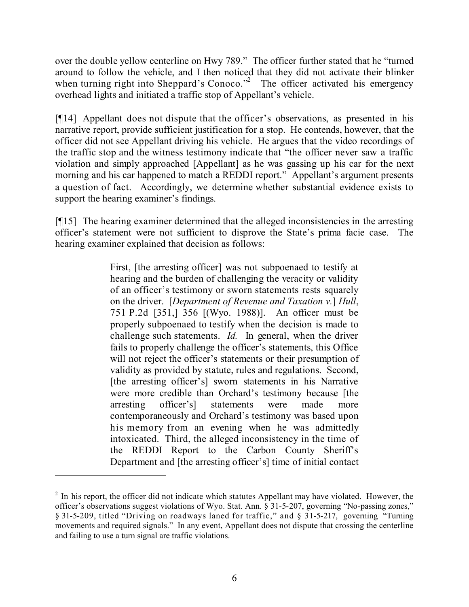over the double yellow centerline on Hwy 789." The officer further stated that he "turned around to follow the vehicle, and I then noticed that they did not activate their blinker when turning right into Sheppard's Conoco."<sup>2</sup> The officer activated his emergency overhead lights and initiated a traffic stop of Appellant's vehicle.

[¶14] Appellant does not dispute that the officer's observations, as presented in his narrative report, provide sufficient justification for a stop. He contends, however, that the officer did not see Appellant driving his vehicle. He argues that the video recordings of the traffic stop and the witness testimony indicate that "the officer never saw a traffic violation and simply approached [Appellant] as he was gassing up his car for the next morning and his car happened to match a REDDI report." Appellant's argument presents a question of fact. Accordingly, we determine whether substantial evidence exists to support the hearing examiner's findings.

[¶15] The hearing examiner determined that the alleged inconsistencies in the arresting officer's statement were not sufficient to disprove the State's prima facie case. The hearing examiner explained that decision as follows:

> First, [the arresting officer] was not subpoenaed to testify at hearing and the burden of challenging the veracity or validity of an officer's testimony or sworn statements rests squarely on the driver. [*Department of Revenue and Taxation v.*] *Hull*, 751 P.2d [351,] 356 [(Wyo. 1988)]. An officer must be properly subpoenaed to testify when the decision is made to challenge such statements. *Id.* In general, when the driver fails to properly challenge the officer's statements, this Office will not reject the officer's statements or their presumption of validity as provided by statute, rules and regulations. Second, [the arresting officer's] sworn statements in his Narrative were more credible than Orchard's testimony because [the arresting officer's] statements were made more contemporaneously and Orchard's testimony was based upon his memory from an evening when he was admittedly intoxicated. Third, the alleged inconsistency in the time of the REDDI Report to the Carbon County Sheriff's Department and [the arresting officer's] time of initial contact

 $2$  In his report, the officer did not indicate which statutes Appellant may have violated. However, the officer's observations suggest violations of Wyo. Stat. Ann. § 31-5-207, governing "No-passing zones," § 31-5-209, titled "Driving on roadways laned for traffic," and § 31-5-217, governing "Turning movements and required signals." In any event, Appellant does not dispute that crossing the centerline and failing to use a turn signal are traffic violations.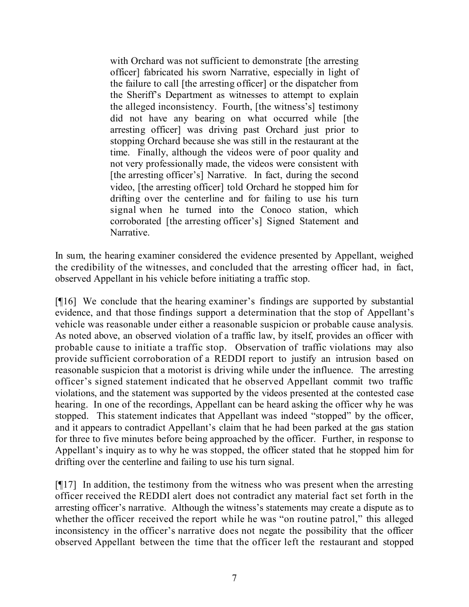with Orchard was not sufficient to demonstrate [the arresting officer] fabricated his sworn Narrative, especially in light of the failure to call [the arresting officer] or the dispatcher from the Sheriff's Department as witnesses to attempt to explain the alleged inconsistency. Fourth, [the witness's] testimony did not have any bearing on what occurred while [the arresting officer] was driving past Orchard just prior to stopping Orchard because she was still in the restaurant at the time. Finally, although the videos were of poor quality and not very professionally made, the videos were consistent with [the arresting officer's] Narrative. In fact, during the second video, [the arresting officer] told Orchard he stopped him for drifting over the centerline and for failing to use his turn signal when he turned into the Conoco station, which corroborated [the arresting officer's] Signed Statement and Narrative.

In sum, the hearing examiner considered the evidence presented by Appellant, weighed the credibility of the witnesses, and concluded that the arresting officer had, in fact, observed Appellant in his vehicle before initiating a traffic stop.

[¶16] We conclude that the hearing examiner's findings are supported by substantial evidence, and that those findings support a determination that the stop of Appellant's vehicle was reasonable under either a reasonable suspicion or probable cause analysis. As noted above, an observed violation of a traffic law, by itself, provides an officer with probable cause to initiate a traffic stop. Observation of traffic violations may also provide sufficient corroboration of a REDDI report to justify an intrusion based on reasonable suspicion that a motorist is driving while under the influence. The arresting officer's signed statement indicated that he observed Appellant commit two traffic violations, and the statement was supported by the videos presented at the contested case hearing. In one of the recordings, Appellant can be heard asking the officer why he was stopped. This statement indicates that Appellant was indeed "stopped" by the officer, and it appears to contradict Appellant's claim that he had been parked at the gas station for three to five minutes before being approached by the officer. Further, in response to Appellant's inquiry as to why he was stopped, the officer stated that he stopped him for drifting over the centerline and failing to use his turn signal.

[¶17] In addition, the testimony from the witness who was present when the arresting officer received the REDDI alert does not contradict any material fact set forth in the arresting officer's narrative. Although the witness's statements may create a dispute as to whether the officer received the report while he was "on routine patrol," this alleged inconsistency in the officer's narrative does not negate the possibility that the officer observed Appellant between the time that the officer left the restaurant and stopped